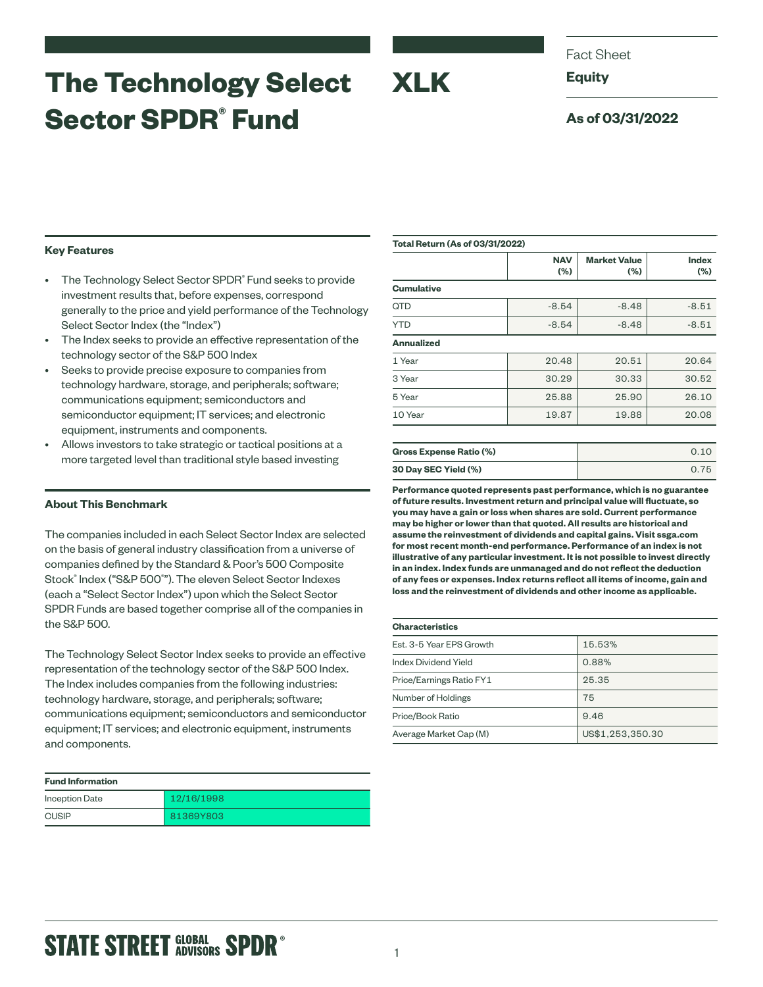# **The Technology Select Sector SPDR® Fund**

Fact Sheet

**Equity**

### **As of 03/31/2022**

### **Key Features**

- The Technology Select Sector SPDR® Fund seeks to provide investment results that, before expenses, correspond generally to the price and yield performance of the Technology Select Sector Index (the "Index")
- The Index seeks to provide an effective representation of the technology sector of the S&P 500 Index
- Seeks to provide precise exposure to companies from technology hardware, storage, and peripherals; software; communications equipment; semiconductors and semiconductor equipment; IT services; and electronic equipment, instruments and components.
- Allows investors to take strategic or tactical positions at a more targeted level than traditional style based investing

### **About This Benchmark**

The companies included in each Select Sector Index are selected on the basis of general industry classification from a universe of companies defined by the Standard & Poor's 500 Composite Stock® Index ("S&P 500® "). The eleven Select Sector Indexes (each a "Select Sector Index") upon which the Select Sector SPDR Funds are based together comprise all of the companies in the S&P 500.

The Technology Select Sector Index seeks to provide an effective representation of the technology sector of the S&P 500 Index. The Index includes companies from the following industries: technology hardware, storage, and peripherals; software; communications equipment; semiconductors and semiconductor equipment; IT services; and electronic equipment, instruments and components.

| <b>Fund Information</b> |            |
|-------------------------|------------|
| <b>Inception Date</b>   | 12/16/1998 |
| <b>CUSIP</b>            | 81369Y803  |

| <b>Total Return (As of 03/31/2022)</b> |                   |                                |                     |  |
|----------------------------------------|-------------------|--------------------------------|---------------------|--|
|                                        | <b>NAV</b><br>(%) | <b>Market Value</b><br>$(\% )$ | <b>Index</b><br>(%) |  |
| <b>Cumulative</b>                      |                   |                                |                     |  |
| QTD                                    | $-8.54$           | $-8.48$                        | $-8.51$             |  |
| <b>YTD</b>                             | $-8.54$           | $-8.48$                        | $-8.51$             |  |
| <b>Annualized</b>                      |                   |                                |                     |  |
| 1 Year                                 | 20.48             | 20.51                          | 20.64               |  |
| 3 Year                                 | 30.29             | 30.33                          | 30.52               |  |
| 5 Year                                 | 25.88             | 25.90                          | 26.10               |  |
| 10 Year                                | 19.87             | 19.88                          | 20.08               |  |
|                                        |                   |                                |                     |  |
| Gross Expense Ratio (%)                |                   |                                | 0.10                |  |

| <b>Gross Expense Ratio (%)</b> |      |
|--------------------------------|------|
| 30 Day SEC Yield (%)           | 0.75 |

**Performance quoted represents past performance, which is no guarantee of future results. Investment return and principal value will fluctuate, so you may have a gain or loss when shares are sold. Current performance may be higher or lower than that quoted. All results are historical and assume the reinvestment of dividends and capital gains. Visit ssga.com for most recent month-end performance. Performance of an index is not illustrative of any particular investment. It is not possible to invest directly in an index. Index funds are unmanaged and do not reflect the deduction of any fees or expenses. Index returns reflect all items of income, gain and loss and the reinvestment of dividends and other income as applicable.**

### **Characteristics**

**XLK**

| VIIAI AVLCI ISLIVS       |                  |  |  |  |
|--------------------------|------------------|--|--|--|
| Est. 3-5 Year EPS Growth | 15.53%           |  |  |  |
| Index Dividend Yield     | 0.88%            |  |  |  |
| Price/Earnings Ratio FY1 | 25.35            |  |  |  |
| Number of Holdings       | 75               |  |  |  |
| Price/Book Ratio         | 9.46             |  |  |  |
| Average Market Cap (M)   | US\$1,253,350.30 |  |  |  |

## **STATE STREET GLOBAL SPDR<sup>®</sup>**